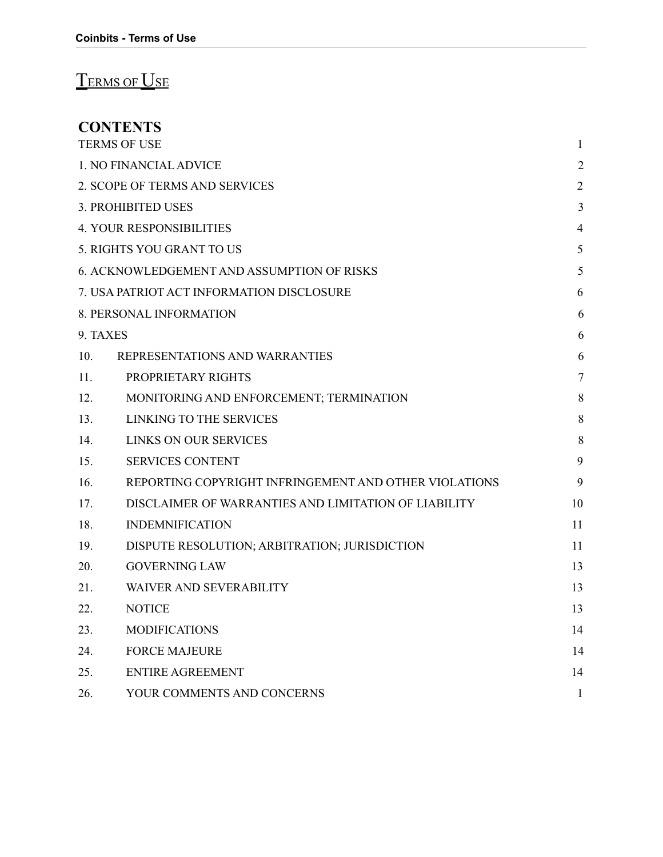# TERMS OF USE

### **CONTENTS**

| <b>TERMS OF USE</b>             |                                                       | $\mathbf{1}$   |
|---------------------------------|-------------------------------------------------------|----------------|
|                                 | 1. NO FINANCIAL ADVICE                                | $\overline{2}$ |
|                                 | 2. SCOPE OF TERMS AND SERVICES                        | $\overline{2}$ |
|                                 | <b>3. PROHIBITED USES</b>                             | $\mathfrak{Z}$ |
| <b>4. YOUR RESPONSIBILITIES</b> |                                                       | $\overline{4}$ |
| 5. RIGHTS YOU GRANT TO US       |                                                       | 5              |
|                                 | 6. ACKNOWLEDGEMENT AND ASSUMPTION OF RISKS            | 5              |
|                                 | 7. USA PATRIOT ACT INFORMATION DISCLOSURE             | 6              |
|                                 | 8. PERSONAL INFORMATION                               | 6              |
| 9. TAXES                        |                                                       | 6              |
| 10.                             | REPRESENTATIONS AND WARRANTIES                        | 6              |
| 11.                             | PROPRIETARY RIGHTS                                    | $\overline{7}$ |
| 12.                             | MONITORING AND ENFORCEMENT; TERMINATION               | 8              |
| 13.                             | LINKING TO THE SERVICES                               | $\,8\,$        |
| 14.                             | <b>LINKS ON OUR SERVICES</b>                          | 8              |
| 15.                             | <b>SERVICES CONTENT</b>                               | 9              |
| 16.                             | REPORTING COPYRIGHT INFRINGEMENT AND OTHER VIOLATIONS | 9              |
| 17.                             | DISCLAIMER OF WARRANTIES AND LIMITATION OF LIABILITY  | 10             |
| 18.                             | <b>INDEMNIFICATION</b>                                | 11             |
| 19.                             | DISPUTE RESOLUTION; ARBITRATION; JURISDICTION         | 11             |
| 20.                             | <b>GOVERNING LAW</b>                                  | 13             |
| 21.                             | <b>WAIVER AND SEVERABILITY</b>                        | 13             |
| 22.                             | <b>NOTICE</b>                                         | 13             |
| 23.                             | <b>MODIFICATIONS</b>                                  | 14             |
| 24.                             | <b>FORCE MAJEURE</b>                                  | 14             |
| 25.                             | ENTIRE AGREEMENT                                      | 14             |
| 26.                             | YOUR COMMENTS AND CONCERNS                            | $\mathbf{1}$   |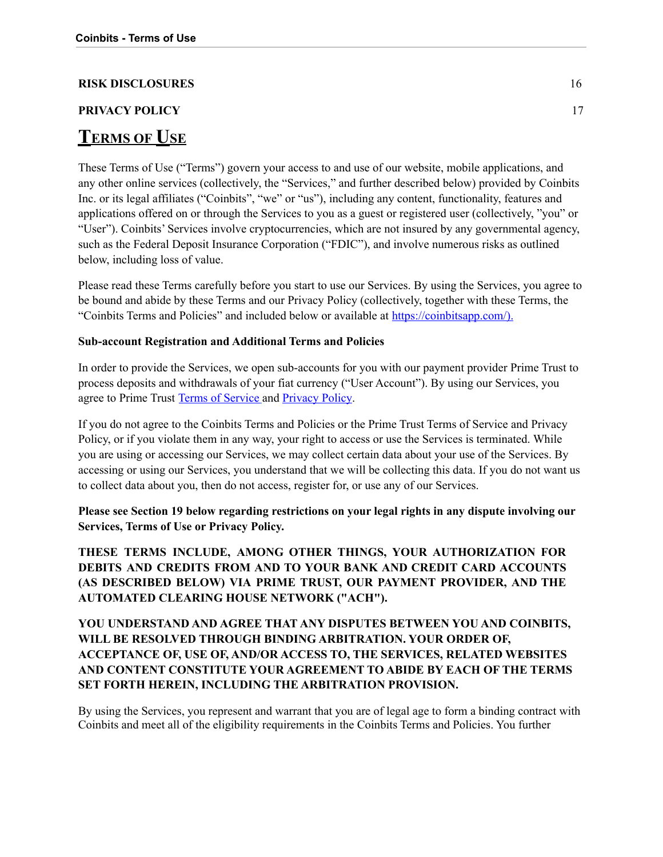#### **RISK DISCLOSURES** 16

## **PRIVACY POLICY** 17 **TERMS OF USE**

These Terms of Use ("Terms") govern your access to and use of our website, mobile applications, and any other online services (collectively, the "Services," and further described below) provided by Coinbits Inc. or its legal affiliates ("Coinbits", "we" or "us"), including any content, functionality, features and applications offered on or through the Services to you as a guest or registered user (collectively, "you" or "User"). Coinbits' Services involve cryptocurrencies, which are not insured by any governmental agency, such as the Federal Deposit Insurance Corporation ("FDIC"), and involve numerous risks as outlined below, including loss of value.

Please read these Terms carefully before you start to use our Services. By using the Services, you agree to be bound and abide by these Terms and our Privacy Policy (collectively, together with these Terms, the "Coinbits Terms and Policies" and included below or available at <https://coinbitsapp.com/>).

#### **Sub-account Registration and Additional Terms and Policies**

In order to provide the Services, we open sub-accounts for you with our payment provider Prime Trust to process deposits and withdrawals of your fiat currency ("User Account"). By using our Services, you agree to Prime Trust Terms of [Service](https://www.primetrust.com/tos/) and [Privacy](https://www.primetrust.com/privacy/) Policy.

If you do not agree to the Coinbits Terms and Policies or the Prime Trust Terms of Service and Privacy Policy, or if you violate them in any way, your right to access or use the Services is terminated. While you are using or accessing our Services, we may collect certain data about your use of the Services. By accessing or using our Services, you understand that we will be collecting this data. If you do not want us to collect data about you, then do not access, register for, or use any of our Services.

**Please see Section 19 below regarding restrictions on your legal rights in any dispute involving our Services, Terms of Use or Privacy Policy.**

**THESE TERMS INCLUDE, AMONG OTHER THINGS, YOUR AUTHORIZATION FOR DEBITS AND CREDITS FROM AND TO YOUR BANK AND CREDIT CARD ACCOUNTS (AS DESCRIBED BELOW) VIA PRIME TRUST, OUR PAYMENT PROVIDER, AND THE AUTOMATED CLEARING HOUSE NETWORK ("ACH").**

#### **YOU UNDERSTAND AND AGREE THAT ANY DISPUTES BETWEEN YOU AND COINBITS, WILL BE RESOLVED THROUGH BINDING ARBITRATION. YOUR ORDER OF, ACCEPTANCE OF, USE OF, AND/OR ACCESS TO, THE SERVICES, RELATED WEBSITES AND CONTENT CONSTITUTE YOUR AGREEMENT TO ABIDE BY EACH OF THE TERMS SET FORTH HEREIN, INCLUDING THE ARBITRATION PROVISION.**

By using the Services, you represent and warrant that you are of legal age to form a binding contract with Coinbits and meet all of the eligibility requirements in the Coinbits Terms and Policies. You further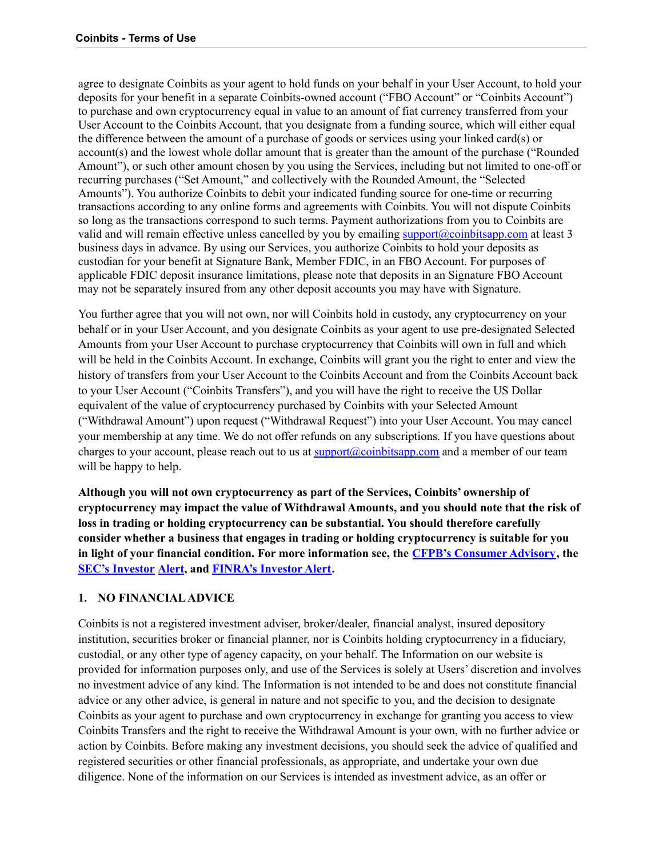agree to designate Coinbits as your agent to hold funds on your behalf in your User Account, to hold your deposits for your benefit in a separate Coinbits-owned account ("FBO Account" or "Coinbits Account") to purchase and own cryptocurrency equal in value to an amount of fiat currency transferred from your User Account to the Coinbits Account, that you designate from a funding source, which will either equal the difference between the amount of a purchase of goods or services using your linked card(s) or account(s) and the lowest whole dollar amount that is greater than the amount of the purchase ("Rounded Amount"), or such other amount chosen by you using the Services, including but not limited to one-off or recurring purchases ("Set Amount," and collectively with the Rounded Amount, the "Selected Amounts"). You authorize Coinbits to debit your indicated funding source for one-time or recurring transactions according to any online forms and agreements with Coinbits. You will not dispute Coinbits so long as the transactions correspond to such terms. Payment authorizations from you to Coinbits are valid and will remain effective unless cancelled by you by emailing [support@coinbitsapp.com](mailto:support@coinbitsapp.com) at least 3 business days in advance. By using our Services, you authorize Coinbits to hold your deposits as custodian for your benefit at Signature Bank, Member FDIC, in an FBO Account. For purposes of applicable FDIC deposit insurance limitations, please note that deposits in an Signature FBO Account may not be separately insured from any other deposit accounts you may have with Signature.

You further agree that you will not own, nor will Coinbits hold in custody, any cryptocurrency on your behalf or in your User Account, and you designate Coinbits as your agent to use pre-designated Selected Amounts from your User Account to purchase cryptocurrency that Coinbits will own in full and which will be held in the Coinbits Account. In exchange, Coinbits will grant you the right to enter and view the history of transfers from your User Account to the Coinbits Account and from the Coinbits Account back to your User Account ("Coinbits Transfers"), and you will have the right to receive the US Dollar equivalent of the value of cryptocurrency purchased by Coinbits with your Selected Amount ("Withdrawal Amount") upon request ("Withdrawal Request") into your User Account. You may cancel your membership at any time. We do not offer refunds on any subscriptions. If you have questions about charges to your account, please reach out to us at **support**@coinbitsapp.com and a member of our team will be happy to help.

**Although you will not own cryptocurrency as part of the Services, Coinbits' ownership of cryptocurrency may impact the value of Withdrawal Amounts, and you should note that the risk of loss in trading or holding cryptocurrency can be substantial. You should therefore carefully consider whether a business that engages in trading or holding cryptocurrency is suitable for you in light of your financial condition. For more information see, the CFPB's [Consumer](http://files.consumerfinance.gov/f/201408_cfpb_consumer-advisory_virtual-currencies.pdf) Advisory, the SEC's [Investor](https://investor.gov/additional-resources/news-alerts/alerts-bulletins/investor-alert-bitcoin-other-virtual-currency) [Alert](https://investor.gov/additional-resources/news-alerts/alerts-bulletins/investor-alert-bitcoin-other-virtual-currency), and [FINRA's](http://www.finra.org/investors/alerts/bitcoin-more-bit-risky) Investor Alert.**

#### **1. NO FINANCIALADVICE**

Coinbits is not a registered investment adviser, broker/dealer, financial analyst, insured depository institution, securities broker or financial planner, nor is Coinbits holding cryptocurrency in a fiduciary, custodial, or any other type of agency capacity, on your behalf. The Information on our website is provided for information purposes only, and use of the Services is solely at Users' discretion and involves no investment advice of any kind. The Information is not intended to be and does not constitute financial advice or any other advice, is general in nature and not specific to you, and the decision to designate Coinbits as your agent to purchase and own cryptocurrency in exchange for granting you access to view Coinbits Transfers and the right to receive the Withdrawal Amount is your own, with no further advice or action by Coinbits. Before making any investment decisions, you should seek the advice of qualified and registered securities or other financial professionals, as appropriate, and undertake your own due diligence. None of the information on our Services is intended as investment advice, as an offer or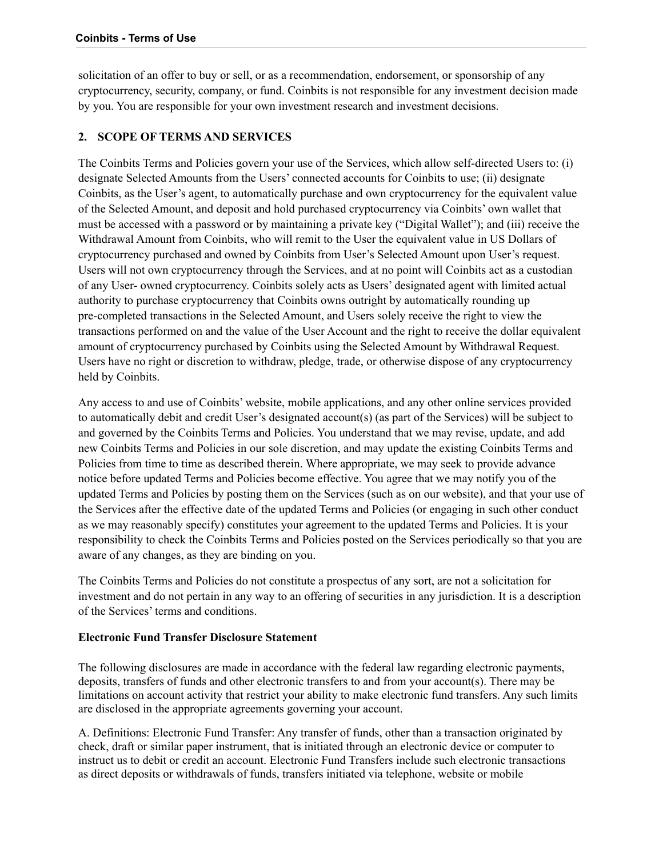solicitation of an offer to buy or sell, or as a recommendation, endorsement, or sponsorship of any cryptocurrency, security, company, or fund. Coinbits is not responsible for any investment decision made by you. You are responsible for your own investment research and investment decisions.

#### <span id="page-3-0"></span>**2. SCOPE OF TERMS AND SERVICES**

The Coinbits Terms and Policies govern your use of the Services, which allow self-directed Users to: (i) designate Selected Amounts from the Users' connected accounts for Coinbits to use; (ii) designate Coinbits, as the User's agent, to automatically purchase and own cryptocurrency for the equivalent value of the Selected Amount, and deposit and hold purchased cryptocurrency via Coinbits' own wallet that must be accessed with a password or by maintaining a private key ("Digital Wallet"); and (iii) receive the Withdrawal Amount from Coinbits, who will remit to the User the equivalent value in US Dollars of cryptocurrency purchased and owned by Coinbits from User's Selected Amount upon User's request. Users will not own cryptocurrency through the Services, and at no point will Coinbits act as a custodian of any User- owned cryptocurrency. Coinbits solely acts as Users' designated agent with limited actual authority to purchase cryptocurrency that Coinbits owns outright by automatically rounding up pre-completed transactions in the Selected Amount, and Users solely receive the right to view the transactions performed on and the value of the User Account and the right to receive the dollar equivalent amount of cryptocurrency purchased by Coinbits using the Selected Amount by Withdrawal Request. Users have no right or discretion to withdraw, pledge, trade, or otherwise dispose of any cryptocurrency held by Coinbits.

Any access to and use of Coinbits' website, mobile applications, and any other online services provided to automatically debit and credit User's designated account(s) (as part of the Services) will be subject to and governed by the Coinbits Terms and Policies. You understand that we may revise, update, and add new Coinbits Terms and Policies in our sole discretion, and may update the existing Coinbits Terms and Policies from time to time as described therein. Where appropriate, we may seek to provide advance notice before updated Terms and Policies become effective. You agree that we may notify you of the updated Terms and Policies by posting them on the Services (such as on our website), and that your use of the Services after the effective date of the updated Terms and Policies (or engaging in such other conduct as we may reasonably specify) constitutes your agreement to the updated Terms and Policies. It is your responsibility to check the Coinbits Terms and Policies posted on the Services periodically so that you are aware of any changes, as they are binding on you.

The Coinbits Terms and Policies do not constitute a prospectus of any sort, are not a solicitation for investment and do not pertain in any way to an offering of securities in any jurisdiction. It is a description of the Services' terms and conditions.

#### **Electronic Fund Transfer Disclosure Statement**

The following disclosures are made in accordance with the federal law regarding electronic payments, deposits, transfers of funds and other electronic transfers to and from your account(s). There may be limitations on account activity that restrict your ability to make electronic fund transfers. Any such limits are disclosed in the appropriate agreements governing your account.

A. Definitions: Electronic Fund Transfer: Any transfer of funds, other than a transaction originated by check, draft or similar paper instrument, that is initiated through an electronic device or computer to instruct us to debit or credit an account. Electronic Fund Transfers include such electronic transactions as direct deposits or withdrawals of funds, transfers initiated via telephone, website or mobile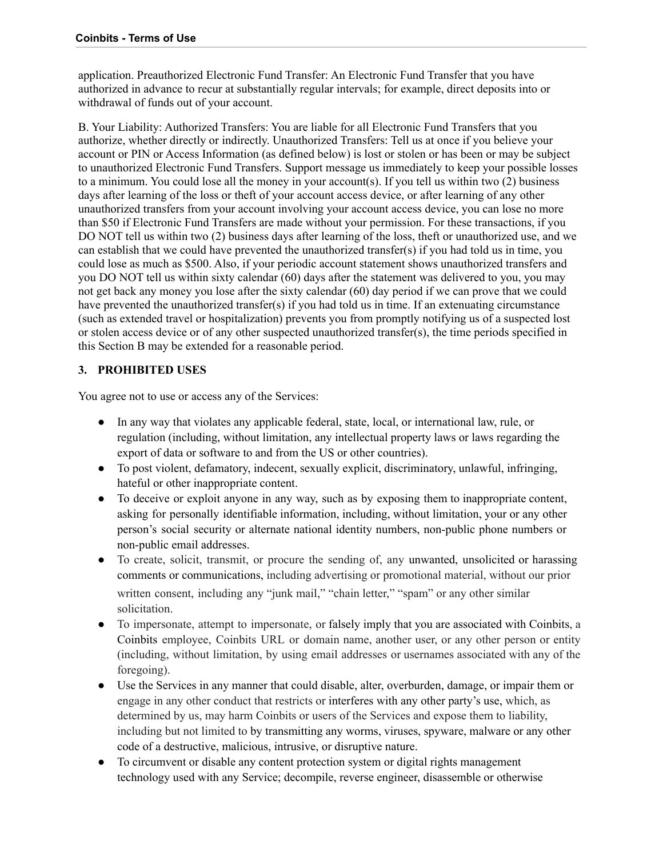application. Preauthorized Electronic Fund Transfer: An Electronic Fund Transfer that you have authorized in advance to recur at substantially regular intervals; for example, direct deposits into or withdrawal of funds out of your account.

B. Your Liability: Authorized Transfers: You are liable for all Electronic Fund Transfers that you authorize, whether directly or indirectly. Unauthorized Transfers: Tell us at once if you believe your account or PIN or Access Information (as defined below) is lost or stolen or has been or may be subject to unauthorized Electronic Fund Transfers. Support message us immediately to keep your possible losses to a minimum. You could lose all the money in your account(s). If you tell us within two (2) business days after learning of the loss or theft of your account access device, or after learning of any other unauthorized transfers from your account involving your account access device, you can lose no more than \$50 if Electronic Fund Transfers are made without your permission. For these transactions, if you DO NOT tell us within two (2) business days after learning of the loss, theft or unauthorized use, and we can establish that we could have prevented the unauthorized transfer(s) if you had told us in time, you could lose as much as \$500. Also, if your periodic account statement shows unauthorized transfers and you DO NOT tell us within sixty calendar (60) days after the statement was delivered to you, you may not get back any money you lose after the sixty calendar (60) day period if we can prove that we could have prevented the unauthorized transfer(s) if you had told us in time. If an extenuating circumstance (such as extended travel or hospitalization) prevents you from promptly notifying us of a suspected lost or stolen access device or of any other suspected unauthorized transfer(s), the time periods specified in this Section B may be extended for a reasonable period.

#### <span id="page-4-0"></span>**3. PROHIBITED USES**

You agree not to use or access any of the Services:

- In any way that violates any applicable federal, state, local, or international law, rule, or regulation (including, without limitation, any intellectual property laws or laws regarding the export of data or software to and from the US or other countries).
- To post violent, defamatory, indecent, sexually explicit, discriminatory, unlawful, infringing, hateful or other inappropriate content.
- To deceive or exploit anyone in any way, such as by exposing them to inappropriate content, asking for personally identifiable information, including, without limitation, your or any other person's social security or alternate national identity numbers, non-public phone numbers or non-public email addresses.
- To create, solicit, transmit, or procure the sending of, any unwanted, unsolicited or harassing comments or communications, including advertising or promotional material, without our prior written consent, including any "junk mail," "chain letter," "spam" or any other similar solicitation.
- To impersonate, attempt to impersonate, or falsely imply that you are associated with Coinbits, a Coinbits employee, Coinbits URL or domain name, another user, or any other person or entity (including, without limitation, by using email addresses or usernames associated with any of the foregoing).
- Use the Services in any manner that could disable, alter, overburden, damage, or impair them or engage in any other conduct that restricts or interferes with any other party's use, which, as determined by us, may harm Coinbits or users of the Services and expose them to liability, including but not limited to by transmitting any worms, viruses, spyware, malware or any other code of a destructive, malicious, intrusive, or disruptive nature.
- To circumvent or disable any content protection system or digital rights management technology used with any Service; decompile, reverse engineer, disassemble or otherwise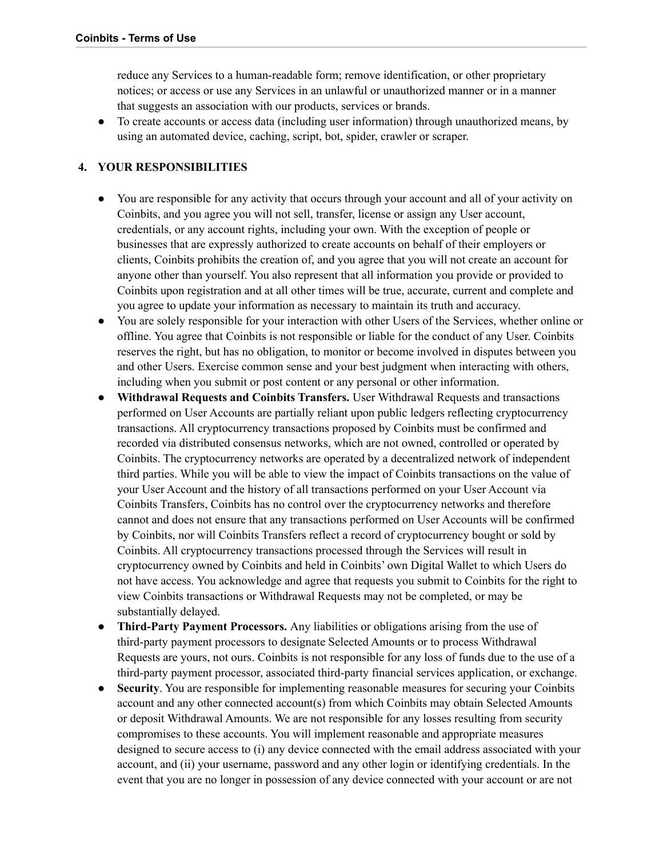reduce any Services to a human-readable form; remove identification, or other proprietary notices; or access or use any Services in an unlawful or unauthorized manner or in a manner that suggests an association with our products, services or brands.

● To create accounts or access data (including user information) through unauthorized means, by using an automated device, caching, script, bot, spider, crawler or scraper.

#### <span id="page-5-0"></span>**4. YOUR RESPONSIBILITIES**

- You are responsible for any activity that occurs through your account and all of your activity on Coinbits, and you agree you will not sell, transfer, license or assign any User account, credentials, or any account rights, including your own. With the exception of people or businesses that are expressly authorized to create accounts on behalf of their employers or clients, Coinbits prohibits the creation of, and you agree that you will not create an account for anyone other than yourself. You also represent that all information you provide or provided to Coinbits upon registration and at all other times will be true, accurate, current and complete and you agree to update your information as necessary to maintain its truth and accuracy.
- You are solely responsible for your interaction with other Users of the Services, whether online or offline. You agree that Coinbits is not responsible or liable for the conduct of any User. Coinbits reserves the right, but has no obligation, to monitor or become involved in disputes between you and other Users. Exercise common sense and your best judgment when interacting with others, including when you submit or post content or any personal or other information.
- **Withdrawal Requests and Coinbits Transfers.** User Withdrawal Requests and transactions performed on User Accounts are partially reliant upon public ledgers reflecting cryptocurrency transactions. All cryptocurrency transactions proposed by Coinbits must be confirmed and recorded via distributed consensus networks, which are not owned, controlled or operated by Coinbits. The cryptocurrency networks are operated by a decentralized network of independent third parties. While you will be able to view the impact of Coinbits transactions on the value of your User Account and the history of all transactions performed on your User Account via Coinbits Transfers, Coinbits has no control over the cryptocurrency networks and therefore cannot and does not ensure that any transactions performed on User Accounts will be confirmed by Coinbits, nor will Coinbits Transfers reflect a record of cryptocurrency bought or sold by Coinbits. All cryptocurrency transactions processed through the Services will result in cryptocurrency owned by Coinbits and held in Coinbits' own Digital Wallet to which Users do not have access. You acknowledge and agree that requests you submit to Coinbits for the right to view Coinbits transactions or Withdrawal Requests may not be completed, or may be substantially delayed.
- **Third-Party Payment Processors.** Any liabilities or obligations arising from the use of third-party payment processors to designate Selected Amounts or to process Withdrawal Requests are yours, not ours. Coinbits is not responsible for any loss of funds due to the use of a third-party payment processor, associated third-party financial services application, or exchange.
- **Security**. You are responsible for implementing reasonable measures for securing your Coinbits account and any other connected account(s) from which Coinbits may obtain Selected Amounts or deposit Withdrawal Amounts. We are not responsible for any losses resulting from security compromises to these accounts. You will implement reasonable and appropriate measures designed to secure access to (i) any device connected with the email address associated with your account, and (ii) your username, password and any other login or identifying credentials. In the event that you are no longer in possession of any device connected with your account or are not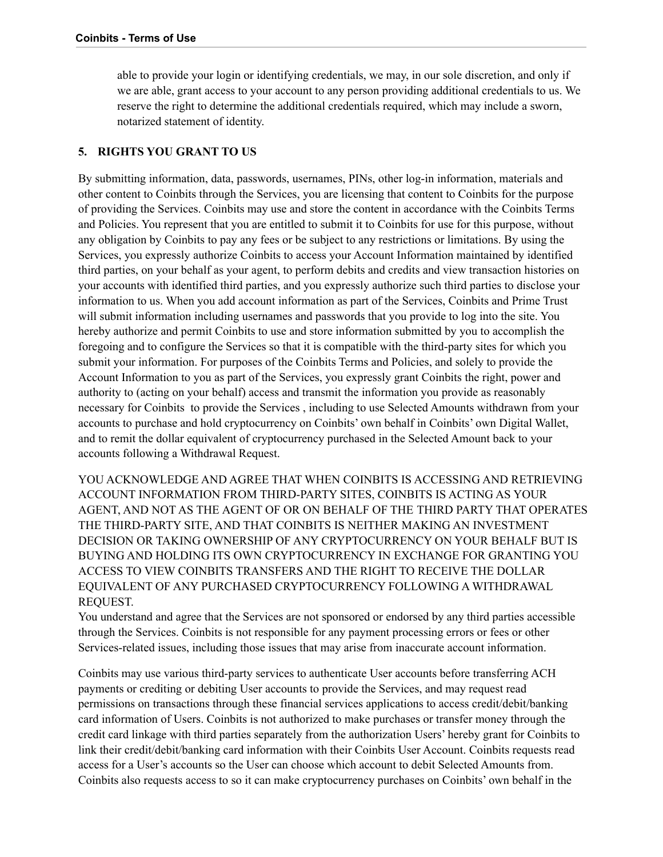able to provide your login or identifying credentials, we may, in our sole discretion, and only if we are able, grant access to your account to any person providing additional credentials to us. We reserve the right to determine the additional credentials required, which may include a sworn, notarized statement of identity.

#### <span id="page-6-0"></span>**5. RIGHTS YOU GRANT TO US**

By submitting information, data, passwords, usernames, PINs, other log-in information, materials and other content to Coinbits through the Services, you are licensing that content to Coinbits for the purpose of providing the Services. Coinbits may use and store the content in accordance with the Coinbits Terms and Policies. You represent that you are entitled to submit it to Coinbits for use for this purpose, without any obligation by Coinbits to pay any fees or be subject to any restrictions or limitations. By using the Services, you expressly authorize Coinbits to access your Account Information maintained by identified third parties, on your behalf as your agent, to perform debits and credits and view transaction histories on your accounts with identified third parties, and you expressly authorize such third parties to disclose your information to us. When you add account information as part of the Services, Coinbits and Prime Trust will submit information including usernames and passwords that you provide to log into the site. You hereby authorize and permit Coinbits to use and store information submitted by you to accomplish the foregoing and to configure the Services so that it is compatible with the third-party sites for which you submit your information. For purposes of the Coinbits Terms and Policies, and solely to provide the Account Information to you as part of the Services, you expressly grant Coinbits the right, power and authority to (acting on your behalf) access and transmit the information you provide as reasonably necessary for Coinbits to provide the Services , including to use Selected Amounts withdrawn from your accounts to purchase and hold cryptocurrency on Coinbits' own behalf in Coinbits' own Digital Wallet, and to remit the dollar equivalent of cryptocurrency purchased in the Selected Amount back to your accounts following a Withdrawal Request.

YOU ACKNOWLEDGE AND AGREE THAT WHEN COINBITS IS ACCESSING AND RETRIEVING ACCOUNT INFORMATION FROM THIRD-PARTY SITES, COINBITS IS ACTING AS YOUR AGENT, AND NOT AS THE AGENT OF OR ON BEHALF OF THE THIRD PARTY THAT OPERATES THE THIRD-PARTY SITE, AND THAT COINBITS IS NEITHER MAKING AN INVESTMENT DECISION OR TAKING OWNERSHIP OF ANY CRYPTOCURRENCY ON YOUR BEHALF BUT IS BUYING AND HOLDING ITS OWN CRYPTOCURRENCY IN EXCHANGE FOR GRANTING YOU ACCESS TO VIEW COINBITS TRANSFERS AND THE RIGHT TO RECEIVE THE DOLLAR EQUIVALENT OF ANY PURCHASED CRYPTOCURRENCY FOLLOWING A WITHDRAWAL REQUEST.

You understand and agree that the Services are not sponsored or endorsed by any third parties accessible through the Services. Coinbits is not responsible for any payment processing errors or fees or other Services-related issues, including those issues that may arise from inaccurate account information.

Coinbits may use various third-party services to authenticate User accounts before transferring ACH payments or crediting or debiting User accounts to provide the Services, and may request read permissions on transactions through these financial services applications to access credit/debit/banking card information of Users. Coinbits is not authorized to make purchases or transfer money through the credit card linkage with third parties separately from the authorization Users' hereby grant for Coinbits to link their credit/debit/banking card information with their Coinbits User Account. Coinbits requests read access for a User's accounts so the User can choose which account to debit Selected Amounts from. Coinbits also requests access to so it can make cryptocurrency purchases on Coinbits' own behalf in the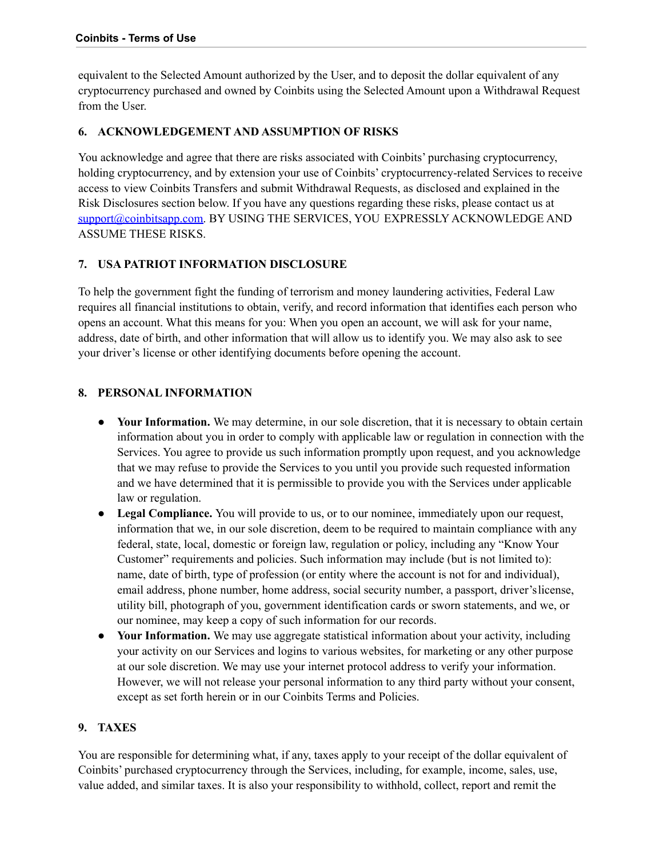equivalent to the Selected Amount authorized by the User, and to deposit the dollar equivalent of any cryptocurrency purchased and owned by Coinbits using the Selected Amount upon a Withdrawal Request from the User.

#### **6. ACKNOWLEDGEMENT AND ASSUMPTION OF RISKS**

You acknowledge and agree that there are risks associated with Coinbits' purchasing cryptocurrency, holding cryptocurrency, and by extension your use of Coinbits' cryptocurrency-related Services to receive access to view Coinbits Transfers and submit Withdrawal Requests, as disclosed and explained in the Risk Disclosures section below. If you have any questions regarding these risks, please contact us at [support@coinbitsapp.com.](mailto:support@coinbitsapp.com) BY USING THE SERVICES, YOU EXPRESSLY ACKNOWLEDGE AND ASSUME THESE RISKS.

#### <span id="page-7-0"></span>**7. USA PATRIOT INFORMATION DISCLOSURE**

To help the government fight the funding of terrorism and money laundering activities, Federal Law requires all financial institutions to obtain, verify, and record information that identifies each person who opens an account. What this means for you: When you open an account, we will ask for your name, address, date of birth, and other information that will allow us to identify you. We may also ask to see your driver's license or other identifying documents before opening the account.

#### <span id="page-7-1"></span>**8. PERSONAL INFORMATION**

- **Your Information.** We may determine, in our sole discretion, that it is necessary to obtain certain information about you in order to comply with applicable law or regulation in connection with the Services. You agree to provide us such information promptly upon request, and you acknowledge that we may refuse to provide the Services to you until you provide such requested information and we have determined that it is permissible to provide you with the Services under applicable law or regulation.
- **Legal Compliance.** You will provide to us, or to our nominee, immediately upon our request, information that we, in our sole discretion, deem to be required to maintain compliance with any federal, state, local, domestic or foreign law, regulation or policy, including any "Know Your Customer" requirements and policies. Such information may include (but is not limited to): name, date of birth, type of profession (or entity where the account is not for and individual), email address, phone number, home address, social security number, a passport, driver'slicense, utility bill, photograph of you, government identification cards or sworn statements, and we, or our nominee, may keep a copy of such information for our records.
- Your Information. We may use aggregate statistical information about your activity, including your activity on our Services and logins to various websites, for marketing or any other purpose at our sole discretion. We may use your internet protocol address to verify your information. However, we will not release your personal information to any third party without your consent, except as set forth herein or in our Coinbits Terms and Policies.

#### <span id="page-7-2"></span>**9. TAXES**

You are responsible for determining what, if any, taxes apply to your receipt of the dollar equivalent of Coinbits' purchased cryptocurrency through the Services, including, for example, income, sales, use, value added, and similar taxes. It is also your responsibility to withhold, collect, report and remit the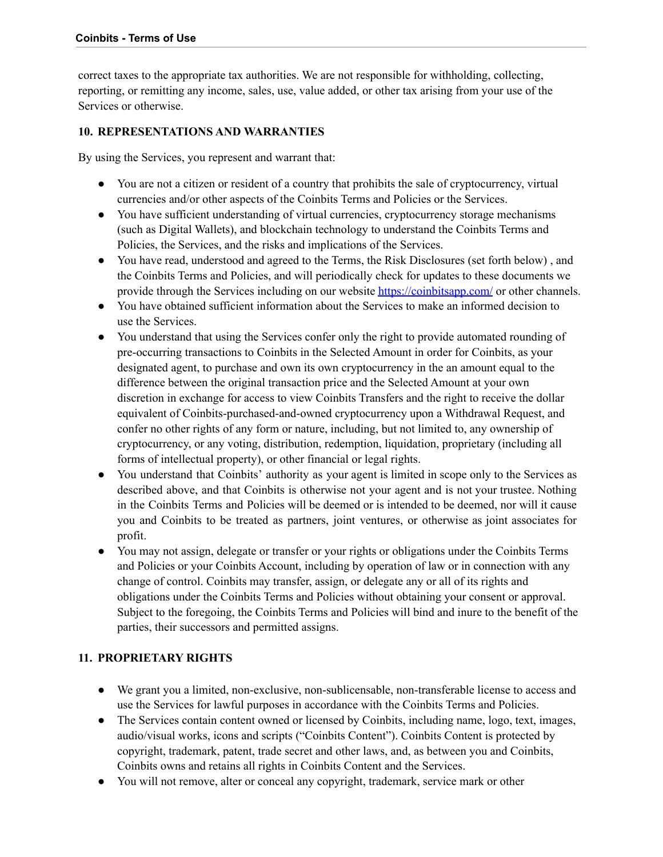correct taxes to the appropriate tax authorities. We are not responsible for withholding, collecting, reporting, or remitting any income, sales, use, value added, or other tax arising from your use of the Services or otherwise.

#### <span id="page-8-0"></span>**10. REPRESENTATIONS AND WARRANTIES**

By using the Services, you represent and warrant that:

- You are not a citizen or resident of a country that prohibits the sale of cryptocurrency, virtual currencies and/or other aspects of the Coinbits Terms and Policies or the Services.
- You have sufficient understanding of virtual currencies, cryptocurrency storage mechanisms (such as Digital Wallets), and blockchain technology to understand the Coinbits Terms and Policies, the Services, and the risks and implications of the Services.
- You have read, understood and agreed to the Terms, the Risk Disclosures (set forth below) , and the Coinbits Terms and Policies, and will periodically check for updates to these documents we provide through the Services including on our website <https://coinbitsapp.com/> or other channels.
- You have obtained sufficient information about the Services to make an informed decision to use the Services.
- You understand that using the Services confer only the right to provide automated rounding of pre-occurring transactions to Coinbits in the Selected Amount in order for Coinbits, as your designated agent, to purchase and own its own cryptocurrency in the an amount equal to the difference between the original transaction price and the Selected Amount at your own discretion in exchange for access to view Coinbits Transfers and the right to receive the dollar equivalent of Coinbits-purchased-and-owned cryptocurrency upon a Withdrawal Request, and confer no other rights of any form or nature, including, but not limited to, any ownership of cryptocurrency, or any voting, distribution, redemption, liquidation, proprietary (including all forms of intellectual property), or other financial or legal rights.
- You understand that Coinbits' authority as your agent is limited in scope only to the Services as described above, and that Coinbits is otherwise not your agent and is not your trustee. Nothing in the Coinbits Terms and Policies will be deemed or is intended to be deemed, nor will it cause you and Coinbits to be treated as partners, joint ventures, or otherwise as joint associates for profit.
- You may not assign, delegate or transfer or your rights or obligations under the Coinbits Terms and Policies or your Coinbits Account, including by operation of law or in connection with any change of control. Coinbits may transfer, assign, or delegate any or all of its rights and obligations under the Coinbits Terms and Policies without obtaining your consent or approval. Subject to the foregoing, the Coinbits Terms and Policies will bind and inure to the benefit of the parties, their successors and permitted assigns.

#### <span id="page-8-1"></span>**11. PROPRIETARY RIGHTS**

- We grant you a limited, non-exclusive, non-sublicensable, non-transferable license to access and use the Services for lawful purposes in accordance with the Coinbits Terms and Policies.
- The Services contain content owned or licensed by Coinbits, including name, logo, text, images, audio/visual works, icons and scripts ("Coinbits Content"). Coinbits Content is protected by copyright, trademark, patent, trade secret and other laws, and, as between you and Coinbits, Coinbits owns and retains all rights in Coinbits Content and the Services.
- You will not remove, alter or conceal any copyright, trademark, service mark or other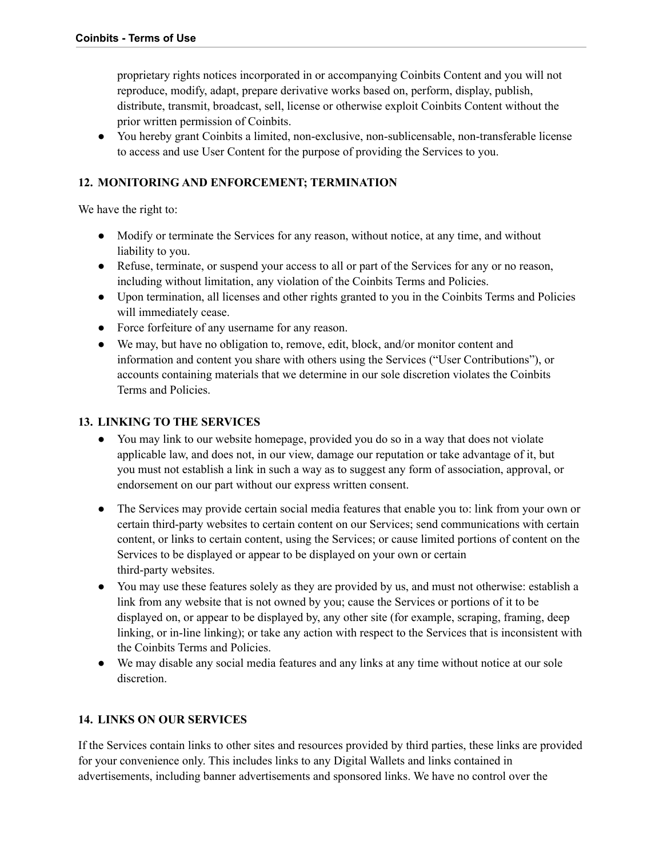proprietary rights notices incorporated in or accompanying Coinbits Content and you will not reproduce, modify, adapt, prepare derivative works based on, perform, display, publish, distribute, transmit, broadcast, sell, license or otherwise exploit Coinbits Content without the prior written permission of Coinbits.

● You hereby grant Coinbits a limited, non-exclusive, non-sublicensable, non-transferable license to access and use User Content for the purpose of providing the Services to you.

#### <span id="page-9-0"></span>**12. MONITORING AND ENFORCEMENT; TERMINATION**

We have the right to:

- Modify or terminate the Services for any reason, without notice, at any time, and without liability to you.
- Refuse, terminate, or suspend your access to all or part of the Services for any or no reason, including without limitation, any violation of the Coinbits Terms and Policies.
- Upon termination, all licenses and other rights granted to you in the Coinbits Terms and Policies will immediately cease.
- Force forfeiture of any username for any reason.
- We may, but have no obligation to, remove, edit, block, and/or monitor content and information and content you share with others using the Services ("User Contributions"), or accounts containing materials that we determine in our sole discretion violates the Coinbits Terms and Policies.

#### <span id="page-9-1"></span>**13. LINKING TO THE SERVICES**

- You may link to our website homepage, provided you do so in a way that does not violate applicable law, and does not, in our view, damage our reputation or take advantage of it, but you must not establish a link in such a way as to suggest any form of association, approval, or endorsement on our part without our express written consent.
- The Services may provide certain social media features that enable you to: link from your own or certain third-party websites to certain content on our Services; send communications with certain content, or links to certain content, using the Services; or cause limited portions of content on the Services to be displayed or appear to be displayed on your own or certain third-party websites.
- You may use these features solely as they are provided by us, and must not otherwise: establish a link from any website that is not owned by you; cause the Services or portions of it to be displayed on, or appear to be displayed by, any other site (for example, scraping, framing, deep linking, or in-line linking); or take any action with respect to the Services that is inconsistent with the Coinbits Terms and Policies.
- We may disable any social media features and any links at any time without notice at our sole discretion.

#### <span id="page-9-2"></span>**14. LINKS ON OUR SERVICES**

If the Services contain links to other sites and resources provided by third parties, these links are provided for your convenience only. This includes links to any Digital Wallets and links contained in advertisements, including banner advertisements and sponsored links. We have no control over the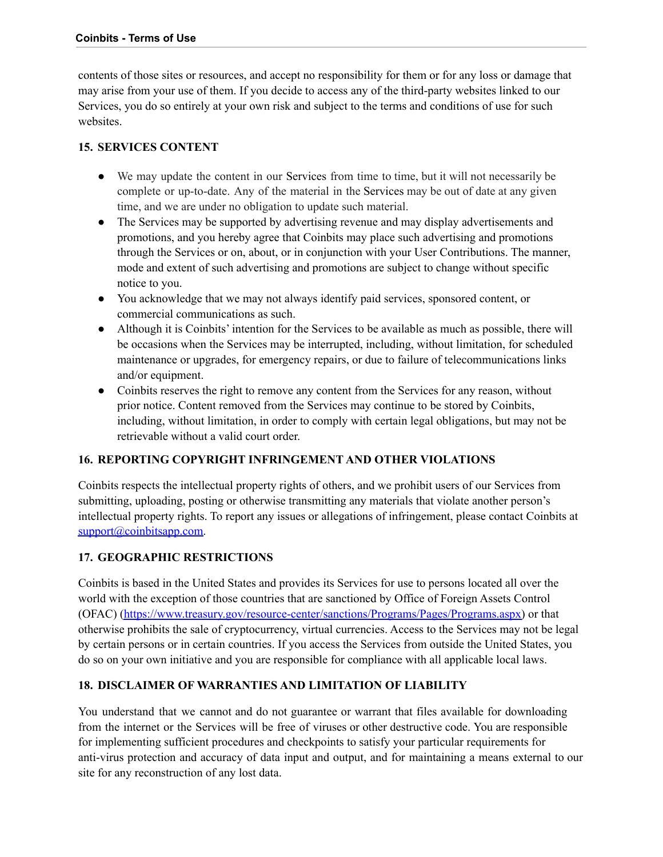contents of those sites or resources, and accept no responsibility for them or for any loss or damage that may arise from your use of them. If you decide to access any of the third-party websites linked to our Services, you do so entirely at your own risk and subject to the terms and conditions of use for such websites.

#### <span id="page-10-0"></span>**15. SERVICES CONTENT**

- We may update the content in our Services from time to time, but it will not necessarily be complete or up-to-date. Any of the material in the Services may be out of date at any given time, and we are under no obligation to update such material.
- The Services may be supported by advertising revenue and may display advertisements and promotions, and you hereby agree that Coinbits may place such advertising and promotions through the Services or on, about, or in conjunction with your User Contributions. The manner, mode and extent of such advertising and promotions are subject to change without specific notice to you.
- You acknowledge that we may not always identify paid services, sponsored content, or commercial communications as such.
- Although it is Coinbits' intention for the Services to be available as much as possible, there will be occasions when the Services may be interrupted, including, without limitation, for scheduled maintenance or upgrades, for emergency repairs, or due to failure of telecommunications links and/or equipment.
- Coinbits reserves the right to remove any content from the Services for any reason, without prior notice. Content removed from the Services may continue to be stored by Coinbits, including, without limitation, in order to comply with certain legal obligations, but may not be retrievable without a valid court order.

#### <span id="page-10-1"></span>**16. REPORTING COPYRIGHT INFRINGEMENT AND OTHER VIOLATIONS**

Coinbits respects the intellectual property rights of others, and we prohibit users of our Services from submitting, uploading, posting or otherwise transmitting any materials that violate another person's intellectual property rights. To report any issues or allegations of infringement, please contact Coinbits at [support@coinbitsapp.com.](mailto:support@coinbitsapp.com)

#### **17. GEOGRAPHIC RESTRICTIONS**

Coinbits is based in the United States and provides its Services for use to persons located all over the world with the exception of those countries that are sanctioned by Office of Foreign Assets Control (OFAC) [\(https://www.treasury.gov/resource-center/sanctions/Programs/Pages/Programs.aspx\)](https://www.treasury.gov/resource-center/sanctions/Programs/Pages/Programs.aspx) or that otherwise prohibits the sale of cryptocurrency, virtual currencies. Access to the Services may not be legal by certain persons or in certain countries. If you access the Services from outside the United States, you do so on your own initiative and you are responsible for compliance with all applicable local laws.

#### <span id="page-10-2"></span>**18. DISCLAIMER OF WARRANTIES AND LIMITATION OF LIABILITY**

You understand that we cannot and do not guarantee or warrant that files available for downloading from the internet or the Services will be free of viruses or other destructive code. You are responsible for implementing sufficient procedures and checkpoints to satisfy your particular requirements for anti-virus protection and accuracy of data input and output, and for maintaining a means external to our site for any reconstruction of any lost data.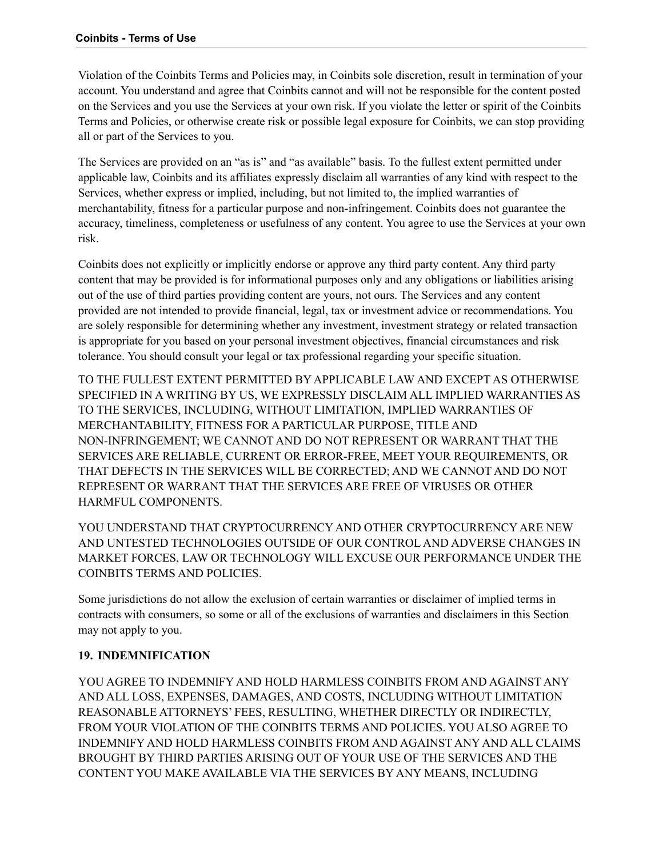Violation of the Coinbits Terms and Policies may, in Coinbits sole discretion, result in termination of your account. You understand and agree that Coinbits cannot and will not be responsible for the content posted on the Services and you use the Services at your own risk. If you violate the letter or spirit of the Coinbits Terms and Policies, or otherwise create risk or possible legal exposure for Coinbits, we can stop providing all or part of the Services to you.

The Services are provided on an "as is" and "as available" basis. To the fullest extent permitted under applicable law, Coinbits and its affiliates expressly disclaim all warranties of any kind with respect to the Services, whether express or implied, including, but not limited to, the implied warranties of merchantability, fitness for a particular purpose and non-infringement. Coinbits does not guarantee the accuracy, timeliness, completeness or usefulness of any content. You agree to use the Services at your own risk.

Coinbits does not explicitly or implicitly endorse or approve any third party content. Any third party content that may be provided is for informational purposes only and any obligations or liabilities arising out of the use of third parties providing content are yours, not ours. The Services and any content provided are not intended to provide financial, legal, tax or investment advice or recommendations. You are solely responsible for determining whether any investment, investment strategy or related transaction is appropriate for you based on your personal investment objectives, financial circumstances and risk tolerance. You should consult your legal or tax professional regarding your specific situation.

TO THE FULLEST EXTENT PERMITTED BY APPLICABLE LAW AND EXCEPT AS OTHERWISE SPECIFIED IN A WRITING BY US, WE EXPRESSLY DISCLAIM ALL IMPLIED WARRANTIES AS TO THE SERVICES, INCLUDING, WITHOUT LIMITATION, IMPLIED WARRANTIES OF MERCHANTABILITY, FITNESS FOR A PARTICULAR PURPOSE, TITLE AND NON-INFRINGEMENT; WE CANNOT AND DO NOT REPRESENT OR WARRANT THAT THE SERVICES ARE RELIABLE, CURRENT OR ERROR-FREE, MEET YOUR REQUIREMENTS, OR THAT DEFECTS IN THE SERVICES WILL BE CORRECTED; AND WE CANNOT AND DO NOT REPRESENT OR WARRANT THAT THE SERVICES ARE FREE OF VIRUSES OR OTHER HARMFUL COMPONENTS.

YOU UNDERSTAND THAT CRYPTOCURRENCY AND OTHER CRYPTOCURRENCY ARE NEW AND UNTESTED TECHNOLOGIES OUTSIDE OF OUR CONTROL AND ADVERSE CHANGES IN MARKET FORCES, LAW OR TECHNOLOGY WILL EXCUSE OUR PERFORMANCE UNDER THE COINBITS TERMS AND POLICIES.

Some jurisdictions do not allow the exclusion of certain warranties or disclaimer of implied terms in contracts with consumers, so some or all of the exclusions of warranties and disclaimers in this Section may not apply to you.

#### <span id="page-11-0"></span>**19. INDEMNIFICATION**

YOU AGREE TO INDEMNIFY AND HOLD HARMLESS COINBITS FROM AND AGAINST ANY AND ALL LOSS, EXPENSES, DAMAGES, AND COSTS, INCLUDING WITHOUT LIMITATION REASONABLE ATTORNEYS' FEES, RESULTING, WHETHER DIRECTLY OR INDIRECTLY, FROM YOUR VIOLATION OF THE COINBITS TERMS AND POLICIES. YOU ALSO AGREE TO INDEMNIFY AND HOLD HARMLESS COINBITS FROM AND AGAINST ANY AND ALL CLAIMS BROUGHT BY THIRD PARTIES ARISING OUT OF YOUR USE OF THE SERVICES AND THE CONTENT YOU MAKE AVAILABLE VIA THE SERVICES BY ANY MEANS, INCLUDING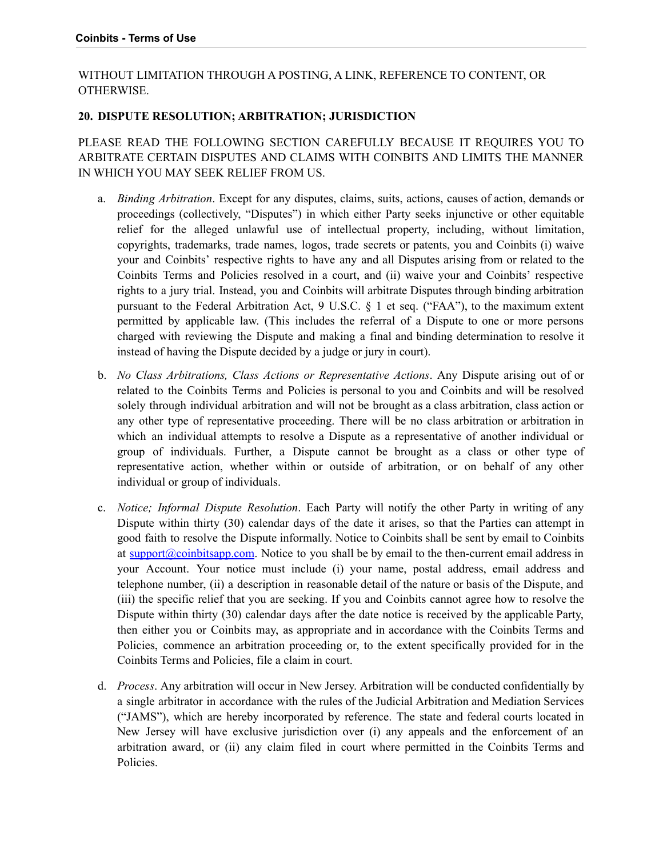#### WITHOUT LIMITATION THROUGH A POSTING, A LINK, REFERENCE TO CONTENT, OR OTHERWISE.

#### <span id="page-12-0"></span>**20. DISPUTE RESOLUTION; ARBITRATION; JURISDICTION**

PLEASE READ THE FOLLOWING SECTION CAREFULLY BECAUSE IT REQUIRES YOU TO ARBITRATE CERTAIN DISPUTES AND CLAIMS WITH COINBITS AND LIMITS THE MANNER IN WHICH YOU MAY SEEK RELIEF FROM US.

- a. *Binding Arbitration*. Except for any disputes, claims, suits, actions, causes of action, demands or proceedings (collectively, "Disputes") in which either Party seeks injunctive or other equitable relief for the alleged unlawful use of intellectual property, including, without limitation, copyrights, trademarks, trade names, logos, trade secrets or patents, you and Coinbits (i) waive your and Coinbits' respective rights to have any and all Disputes arising from or related to the Coinbits Terms and Policies resolved in a court, and (ii) waive your and Coinbits' respective rights to a jury trial. Instead, you and Coinbits will arbitrate Disputes through binding arbitration pursuant to the Federal Arbitration Act, 9 U.S.C. § 1 et seq. ("FAA"), to the maximum extent permitted by applicable law. (This includes the referral of a Dispute to one or more persons charged with reviewing the Dispute and making a final and binding determination to resolve it instead of having the Dispute decided by a judge or jury in court).
- b. *No Class Arbitrations, Class Actions or Representative Actions*. Any Dispute arising out of or related to the Coinbits Terms and Policies is personal to you and Coinbits and will be resolved solely through individual arbitration and will not be brought as a class arbitration, class action or any other type of representative proceeding. There will be no class arbitration or arbitration in which an individual attempts to resolve a Dispute as a representative of another individual or group of individuals. Further, a Dispute cannot be brought as a class or other type of representative action, whether within or outside of arbitration, or on behalf of any other individual or group of individuals.
- c. *Notice; Informal Dispute Resolution*. Each Party will notify the other Party in writing of any Dispute within thirty (30) calendar days of the date it arises, so that the Parties can attempt in good faith to resolve the Dispute informally. Notice to Coinbits shall be sent by email to Coinbits at [support@coinbitsapp.com](mailto:support@coinbitsapp.com). Notice to you shall be by email to the then-current email address in your Account. Your notice must include (i) your name, postal address, email address and telephone number, (ii) a description in reasonable detail of the nature or basis of the Dispute, and (iii) the specific relief that you are seeking. If you and Coinbits cannot agree how to resolve the Dispute within thirty (30) calendar days after the date notice is received by the applicable Party, then either you or Coinbits may, as appropriate and in accordance with the Coinbits Terms and Policies, commence an arbitration proceeding or, to the extent specifically provided for in the Coinbits Terms and Policies, file a claim in court.
- d. *Process*. Any arbitration will occur in New Jersey. Arbitration will be conducted confidentially by a single arbitrator in accordance with the rules of the Judicial Arbitration and Mediation Services ("JAMS"), which are hereby incorporated by reference. The state and federal courts located in New Jersey will have exclusive jurisdiction over (i) any appeals and the enforcement of an arbitration award, or (ii) any claim filed in court where permitted in the Coinbits Terms and Policies.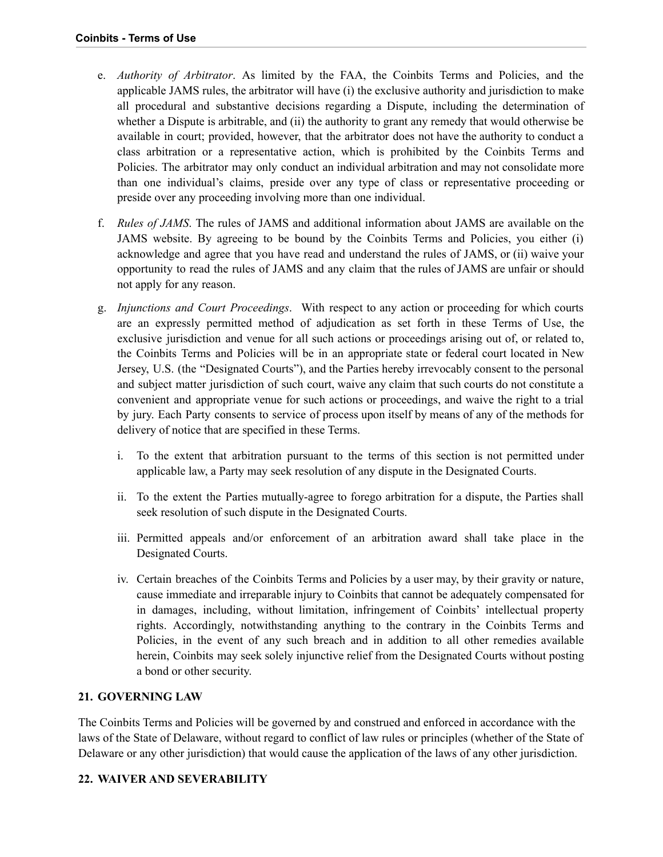- e. *Authority of Arbitrator*. As limited by the FAA, the Coinbits Terms and Policies, and the applicable JAMS rules, the arbitrator will have (i) the exclusive authority and jurisdiction to make all procedural and substantive decisions regarding a Dispute, including the determination of whether a Dispute is arbitrable, and (ii) the authority to grant any remedy that would otherwise be available in court; provided, however, that the arbitrator does not have the authority to conduct a class arbitration or a representative action, which is prohibited by the Coinbits Terms and Policies. The arbitrator may only conduct an individual arbitration and may not consolidate more than one individual's claims, preside over any type of class or representative proceeding or preside over any proceeding involving more than one individual.
- f. *Rules of JAMS*. The rules of JAMS and additional information about JAMS are available on the JAMS website. By agreeing to be bound by the Coinbits Terms and Policies, you either (i) acknowledge and agree that you have read and understand the rules of JAMS, or (ii) waive your opportunity to read the rules of JAMS and any claim that the rules of JAMS are unfair or should not apply for any reason.
- g. *Injunctions and Court Proceedings*. With respect to any action or proceeding for which courts are an expressly permitted method of adjudication as set forth in these Terms of Use, the exclusive jurisdiction and venue for all such actions or proceedings arising out of, or related to, the Coinbits Terms and Policies will be in an appropriate state or federal court located in New Jersey, U.S. (the "Designated Courts"), and the Parties hereby irrevocably consent to the personal and subject matter jurisdiction of such court, waive any claim that such courts do not constitute a convenient and appropriate venue for such actions or proceedings, and waive the right to a trial by jury. Each Party consents to service of process upon itself by means of any of the methods for delivery of notice that are specified in these Terms.
	- i. To the extent that arbitration pursuant to the terms of this section is not permitted under applicable law, a Party may seek resolution of any dispute in the Designated Courts.
	- ii. To the extent the Parties mutually-agree to forego arbitration for a dispute, the Parties shall seek resolution of such dispute in the Designated Courts.
	- iii. Permitted appeals and/or enforcement of an arbitration award shall take place in the Designated Courts.
	- iv. Certain breaches of the Coinbits Terms and Policies by a user may, by their gravity or nature, cause immediate and irreparable injury to Coinbits that cannot be adequately compensated for in damages, including, without limitation, infringement of Coinbits' intellectual property rights. Accordingly, notwithstanding anything to the contrary in the Coinbits Terms and Policies, in the event of any such breach and in addition to all other remedies available herein, Coinbits may seek solely injunctive relief from the Designated Courts without posting a bond or other security.

#### <span id="page-13-0"></span>**21. GOVERNING LAW**

The Coinbits Terms and Policies will be governed by and construed and enforced in accordance with the laws of the State of Delaware, without regard to conflict of law rules or principles (whether of the State of Delaware or any other jurisdiction) that would cause the application of the laws of any other jurisdiction.

#### <span id="page-13-1"></span>**22. WAIVER AND SEVERABILITY**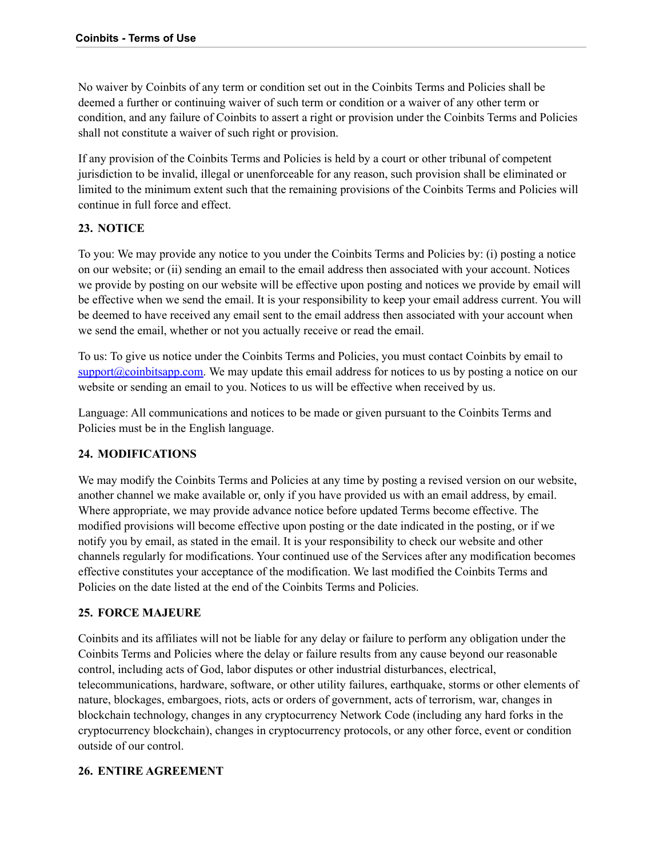No waiver by Coinbits of any term or condition set out in the Coinbits Terms and Policies shall be deemed a further or continuing waiver of such term or condition or a waiver of any other term or condition, and any failure of Coinbits to assert a right or provision under the Coinbits Terms and Policies shall not constitute a waiver of such right or provision.

If any provision of the Coinbits Terms and Policies is held by a court or other tribunal of competent jurisdiction to be invalid, illegal or unenforceable for any reason, such provision shall be eliminated or limited to the minimum extent such that the remaining provisions of the Coinbits Terms and Policies will continue in full force and effect.

#### <span id="page-14-0"></span>**23. NOTICE**

To you: We may provide any notice to you under the Coinbits Terms and Policies by: (i) posting a notice on our website; or (ii) sending an email to the email address then associated with your account. Notices we provide by posting on our website will be effective upon posting and notices we provide by email will be effective when we send the email. It is your responsibility to keep your email address current. You will be deemed to have received any email sent to the email address then associated with your account when we send the email, whether or not you actually receive or read the email.

To us: To give us notice under the Coinbits Terms and Policies, you must contact Coinbits by email to [support@coinbitsapp.com.](mailto:support@coinbitsapp.com) We may update this email address for notices to us by posting a notice on our website or sending an email to you. Notices to us will be effective when received by us.

Language: All communications and notices to be made or given pursuant to the Coinbits Terms and Policies must be in the English language.

#### <span id="page-14-1"></span>**24. MODIFICATIONS**

We may modify the Coinbits Terms and Policies at any time by posting a revised version on our website, another channel we make available or, only if you have provided us with an email address, by email. Where appropriate, we may provide advance notice before updated Terms become effective. The modified provisions will become effective upon posting or the date indicated in the posting, or if we notify you by email, as stated in the email. It is your responsibility to check our website and other channels regularly for modifications. Your continued use of the Services after any modification becomes effective constitutes your acceptance of the modification. We last modified the Coinbits Terms and Policies on the date listed at the end of the Coinbits Terms and Policies.

#### <span id="page-14-2"></span>**25. FORCE MAJEURE**

Coinbits and its affiliates will not be liable for any delay or failure to perform any obligation under the Coinbits Terms and Policies where the delay or failure results from any cause beyond our reasonable control, including acts of God, labor disputes or other industrial disturbances, electrical, telecommunications, hardware, software, or other utility failures, earthquake, storms or other elements of nature, blockages, embargoes, riots, acts or orders of government, acts of terrorism, war, changes in blockchain technology, changes in any cryptocurrency Network Code (including any hard forks in the cryptocurrency blockchain), changes in cryptocurrency protocols, or any other force, event or condition outside of our control.

#### <span id="page-14-3"></span>**26. ENTIRE AGREEMENT**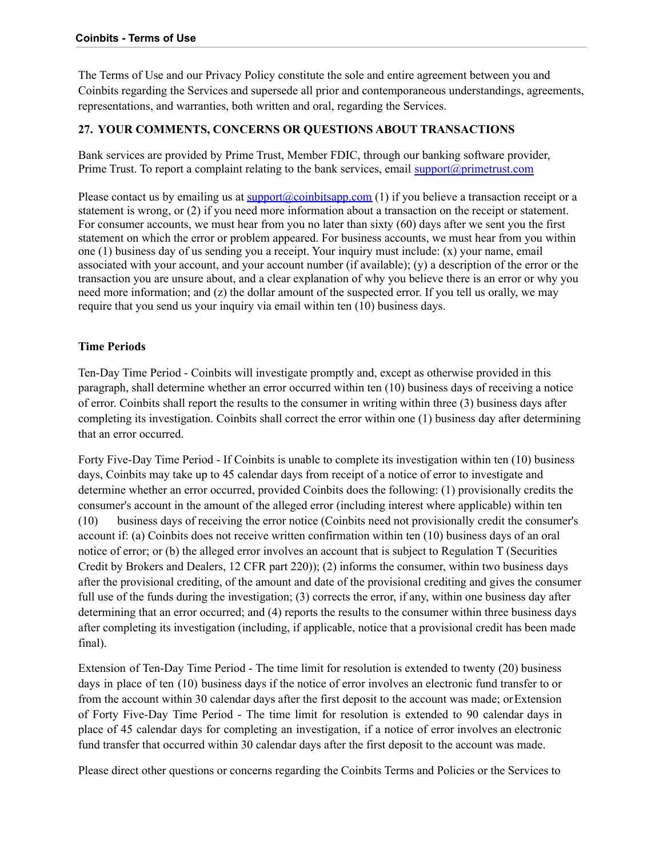The Terms of Use and our Privacy Policy constitute the sole and entire agreement between you and Coinbits regarding the Services and supersede all prior and contemporaneous understandings, agreements, representations, and warranties, both written and oral, regarding the Services.

#### **27. YOUR COMMENTS, CONCERNS OR QUESTIONS ABOUT TRANSACTIONS**

Bank services are provided by Prime Trust, Member FDIC, through our banking software provider, Prime Trust. To report a complaint relating to the bank services, email support $\mathcal{O}(p)$ rimetrust.com

Please contact us by emailing us at  $\text{support}(\Omega)$  coinbitsapp.com (1) if you believe a transaction receipt or a statement is wrong, or (2) if you need more information about a transaction on the receipt or statement. For consumer accounts, we must hear from you no later than sixty (60) days after we sent you the first statement on which the error or problem appeared. For business accounts, we must hear from you within one (1) business day of us sending you a receipt. Your inquiry must include: (x) your name, email associated with your account, and your account number (if available); (y) a description of the error or the transaction you are unsure about, and a clear explanation of why you believe there is an error or why you need more information; and (z) the dollar amount of the suspected error. If you tell us orally, we may require that you send us your inquiry via email within ten (10) business days.

#### **Time Periods**

Ten-Day Time Period - Coinbits will investigate promptly and, except as otherwise provided in this paragraph, shall determine whether an error occurred within ten (10) business days of receiving a notice of error. Coinbits shall report the results to the consumer in writing within three (3) business days after completing its investigation. Coinbits shall correct the error within one (1) business day after determining that an error occurred.

Forty Five-Day Time Period - If Coinbits is unable to complete its investigation within ten (10) business days, Coinbits may take up to 45 calendar days from receipt of a notice of error to investigate and determine whether an error occurred, provided Coinbits does the following: (1) provisionally credits the consumer's account in the amount of the alleged error (including interest where applicable) within ten (10) business days of receiving the error notice (Coinbits need not provisionally credit the consumer's account if: (a) Coinbits does not receive written confirmation within ten (10) business days of an oral notice of error; or (b) the alleged error involves an account that is subject to Regulation T (Securities Credit by Brokers and Dealers, 12 CFR part 220)); (2) informs the consumer, within two business days after the provisional crediting, of the amount and date of the provisional crediting and gives the consumer full use of the funds during the investigation; (3) corrects the error, if any, within one business day after determining that an error occurred; and (4) reports the results to the consumer within three business days after completing its investigation (including, if applicable, notice that a provisional credit has been made final).

Extension of Ten-Day Time Period - The time limit for resolution is extended to twenty (20) business days in place of ten (10) business days if the notice of error involves an electronic fund transfer to or from the account within 30 calendar days after the first deposit to the account was made; orExtension of Forty Five-Day Time Period - The time limit for resolution is extended to 90 calendar days in place of 45 calendar days for completing an investigation, if a notice of error involves an electronic fund transfer that occurred within 30 calendar days after the first deposit to the account was made.

Please direct other questions or concerns regarding the Coinbits Terms and Policies or the Services to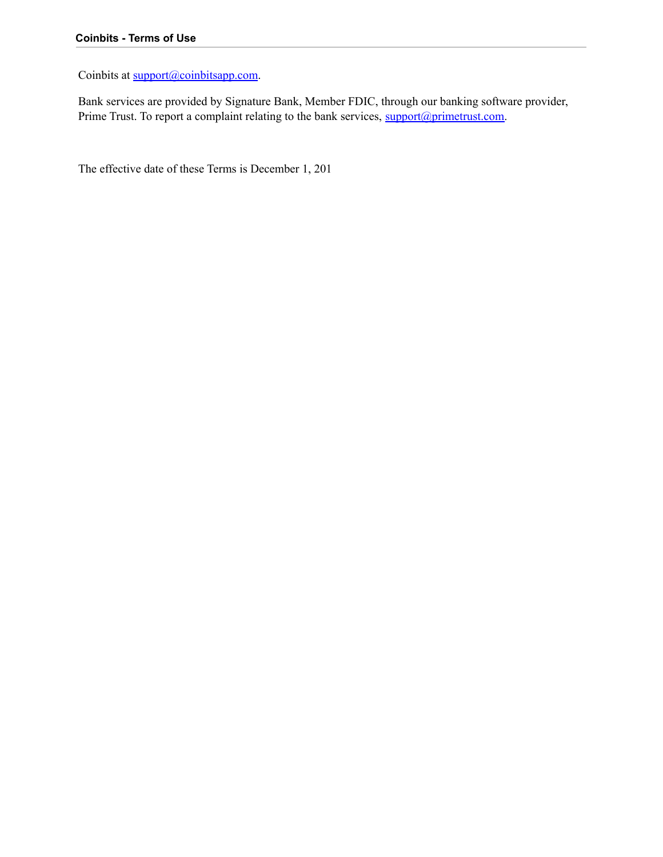Coinbits at [support@coinbitsapp.com](mailto:support@coinbits.com).

Bank services are provided by Signature Bank, Member FDIC, through our banking software provider, Prime Trust. To report a complaint relating to the bank services, [support@primetrust.com.](mailto:support@primetrust.com)

The effective date of these Terms is December 1, 201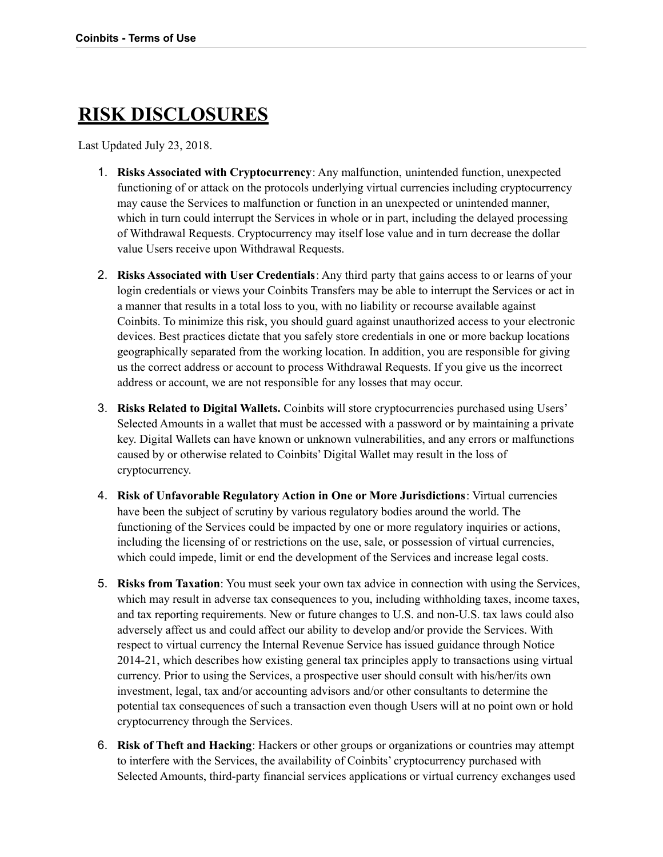# **RISK DISCLOSURES**

Last Updated July 23, 2018.

- 1. **Risks Associated with Cryptocurrency**: Any malfunction, unintended function, unexpected functioning of or attack on the protocols underlying virtual currencies including cryptocurrency may cause the Services to malfunction or function in an unexpected or unintended manner, which in turn could interrupt the Services in whole or in part, including the delayed processing of Withdrawal Requests. Cryptocurrency may itself lose value and in turn decrease the dollar value Users receive upon Withdrawal Requests.
- 2. **Risks Associated with User Credentials**: Any third party that gains access to or learns of your login credentials or views your Coinbits Transfers may be able to interrupt the Services or act in a manner that results in a total loss to you, with no liability or recourse available against Coinbits. To minimize this risk, you should guard against unauthorized access to your electronic devices. Best practices dictate that you safely store credentials in one or more backup locations geographically separated from the working location. In addition, you are responsible for giving us the correct address or account to process Withdrawal Requests. If you give us the incorrect address or account, we are not responsible for any losses that may occur.
- 3. **Risks Related to Digital Wallets.** Coinbits will store cryptocurrencies purchased using Users' Selected Amounts in a wallet that must be accessed with a password or by maintaining a private key. Digital Wallets can have known or unknown vulnerabilities, and any errors or malfunctions caused by or otherwise related to Coinbits' Digital Wallet may result in the loss of cryptocurrency.
- 4. **Risk of Unfavorable Regulatory Action in One or More Jurisdictions**: Virtual currencies have been the subject of scrutiny by various regulatory bodies around the world. The functioning of the Services could be impacted by one or more regulatory inquiries or actions, including the licensing of or restrictions on the use, sale, or possession of virtual currencies, which could impede, limit or end the development of the Services and increase legal costs.
- 5. **Risks from Taxation**: You must seek your own tax advice in connection with using the Services, which may result in adverse tax consequences to you, including withholding taxes, income taxes, and tax reporting requirements. New or future changes to U.S. and non-U.S. tax laws could also adversely affect us and could affect our ability to develop and/or provide the Services. With respect to virtual currency the Internal Revenue Service has issued guidance through Notice 2014-21, which describes how existing general tax principles apply to transactions using virtual currency. Prior to using the Services, a prospective user should consult with his/her/its own investment, legal, tax and/or accounting advisors and/or other consultants to determine the potential tax consequences of such a transaction even though Users will at no point own or hold cryptocurrency through the Services.
- 6. **Risk of Theft and Hacking**: Hackers or other groups or organizations or countries may attempt to interfere with the Services, the availability of Coinbits' cryptocurrency purchased with Selected Amounts, third-party financial services applications or virtual currency exchanges used